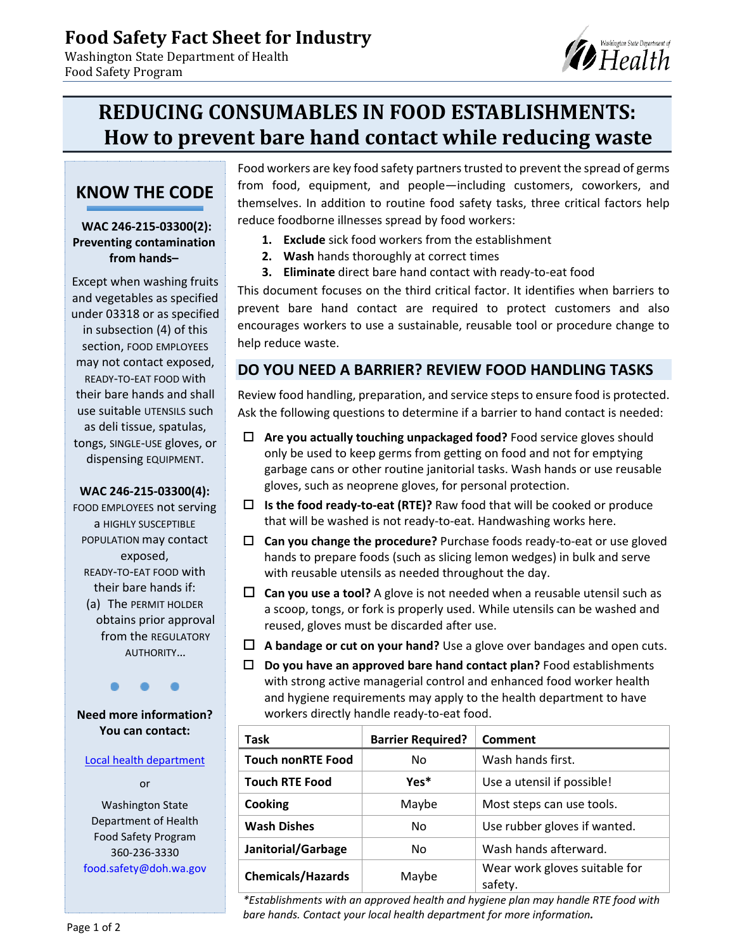Washington State Department of

# **REDUCING CONSUMABLES IN FOOD ESTABLISHMENTS: How to prevent bare hand contact while reducing waste**

# **KNOW THE CODE**

Food Safety Program

#### **WAC 246-215-03300(2): Preventing contamination from hands–**

Except when washing fruits and vegetables as specified under 03318 or as specified in subsection (4) of this section, FOOD EMPLOYEES may not contact exposed, READY-TO-EAT FOOD With their bare hands and shall use suitable UTENSILS such as deli tissue, spatulas, tongs, SINGLE-USE gloves, or dispensing EQUIPMENT.

### **WAC 246-215-03300(4):**

FOOD EMPLOYEES not serving a HIGHLY SUSCEPTIBLE POPULATION may contact exposed, READY-TO-EAT FOOD with their bare hands if: (a) The PERMIT HOLDER obtains prior approval from the REGULATORY AUTHORITY…

**Need more information? You can contact:**

#### [Local health department](https://www.doh.wa.gov/CommunityandEnvironment/Food/LocalFoodSafetyContacts)

or

Washington State Department of Health Food Safety Program 360-236-3330 food.safety@doh.wa.gov Food workers are key food safety partners trusted to prevent the spread of germs from food, equipment, and people—including customers, coworkers, and themselves. In addition to routine food safety tasks, three critical factors help reduce foodborne illnesses spread by food workers:

- **1. Exclude** sick food workers from the establishment
- **2. Wash** hands thoroughly at correct times
- **3. Eliminate** direct bare hand contact with ready-to-eat food

This document focuses on the third critical factor. It identifies when barriers to prevent bare hand contact are required to protect customers and also encourages workers to use a sustainable, reusable tool or procedure change to help reduce waste.

### **DO YOU NEED A BARRIER? REVIEW FOOD HANDLING TASKS**

Review food handling, preparation, and service steps to ensure food is protected. Ask the following questions to determine if a barrier to hand contact is needed:

- **Are you actually touching unpackaged food?** Food service gloves should only be used to keep germs from getting on food and not for emptying garbage cans or other routine janitorial tasks. Wash hands or use reusable gloves, such as neoprene gloves, for personal protection.
- **Is the food ready-to-eat (RTE)?** Raw food that will be cooked or produce that will be washed is not ready-to-eat. Handwashing works here.
- **Can you change the procedure?** Purchase foods ready-to-eat or use gloved hands to prepare foods (such as slicing lemon wedges) in bulk and serve with reusable utensils as needed throughout the day.
- **Can you use a tool?** A glove is not needed when a reusable utensil such as a scoop, tongs, or fork is properly used. While utensils can be washed and reused, gloves must be discarded after use.
- **A bandage or cut on your hand?** Use a glove over bandages and open cuts.
- **Do you have an approved bare hand contact plan?** Food establishments with strong active managerial control and enhanced food worker health and hygiene requirements may apply to the health department to have workers directly handle ready-to-eat food.

| Task                     | <b>Barrier Required?</b> | Comment                                  |
|--------------------------|--------------------------|------------------------------------------|
| <b>Touch nonRTE Food</b> | No                       | Wash hands first.                        |
| <b>Touch RTE Food</b>    | Yes*                     | Use a utensil if possible!               |
| Cooking                  | Maybe                    | Most steps can use tools.                |
| <b>Wash Dishes</b>       | No.                      | Use rubber gloves if wanted.             |
| Janitorial/Garbage       | No.                      | Wash hands afterward.                    |
| <b>Chemicals/Hazards</b> | Maybe                    | Wear work gloves suitable for<br>safety. |

*\*Establishments with an approved health and hygiene plan may handle RTE food with bare hands. Contact your local health department for more information.*